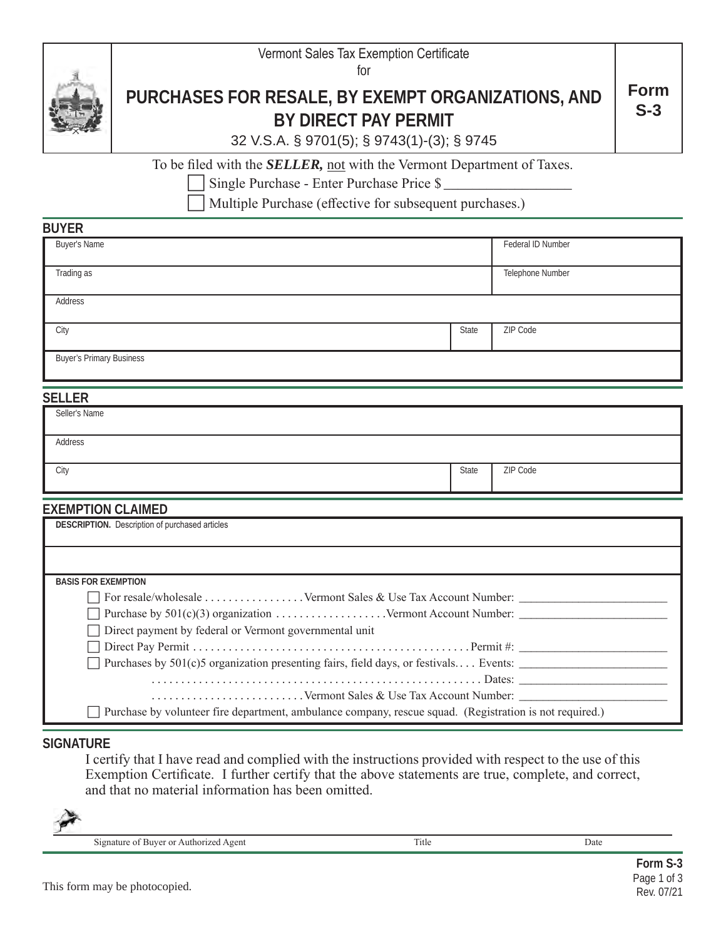

for



**BUYER**

#### **PURCHASES FOR RESALE, BY EXEMPT ORGANIZATIONS, AND BY DIRECT PAY PERMIT Form S-3**

|  |  |  | 32 V.S.A. § 9701(5); § 9743(1)-(3); § 9745 |  |
|--|--|--|--------------------------------------------|--|
|--|--|--|--------------------------------------------|--|

To be filed with the *SELLER,* not with the Vermont Department of Taxes.

Single Purchase - Enter Purchase Price \$

Multiple Purchase (effective for subsequent purchases.)

| <b>PUILIV</b>                   |       |                   |  |  |
|---------------------------------|-------|-------------------|--|--|
| Buyer's Name                    |       | Federal ID Number |  |  |
| Trading as                      |       | Telephone Number  |  |  |
| Address                         |       |                   |  |  |
| City                            | State | ZIP Code          |  |  |
| <b>Buyer's Primary Business</b> |       |                   |  |  |

## **SELLER**

| ------        |       |          |
|---------------|-------|----------|
| Seller's Name |       |          |
|               |       |          |
| Address       |       |          |
|               |       |          |
| City          | State | ZIP Code |
|               |       |          |

## **EXEMPTION CLAIMED**

| <b>DESCRIPTION.</b> Description of purchased articles                                                   |  |  |  |  |  |
|---------------------------------------------------------------------------------------------------------|--|--|--|--|--|
|                                                                                                         |  |  |  |  |  |
| <b>BASIS FOR EXEMPTION</b>                                                                              |  |  |  |  |  |
|                                                                                                         |  |  |  |  |  |
|                                                                                                         |  |  |  |  |  |
| □ Direct payment by federal or Vermont governmental unit                                                |  |  |  |  |  |
|                                                                                                         |  |  |  |  |  |
| Purchases by $501(c)$ organization presenting fairs, field days, or festivals Events:                   |  |  |  |  |  |
|                                                                                                         |  |  |  |  |  |
|                                                                                                         |  |  |  |  |  |
| Purchase by volunteer fire department, ambulance company, rescue squad. (Registration is not required.) |  |  |  |  |  |

## **SIGNATURE**

I certify that I have read and complied with the instructions provided with respect to the use of this Exemption Certificate. I further certify that the above statements are true, complete, and correct, and that no material information has been omitted.



Signature of Buyer or Authorized Agent Title Date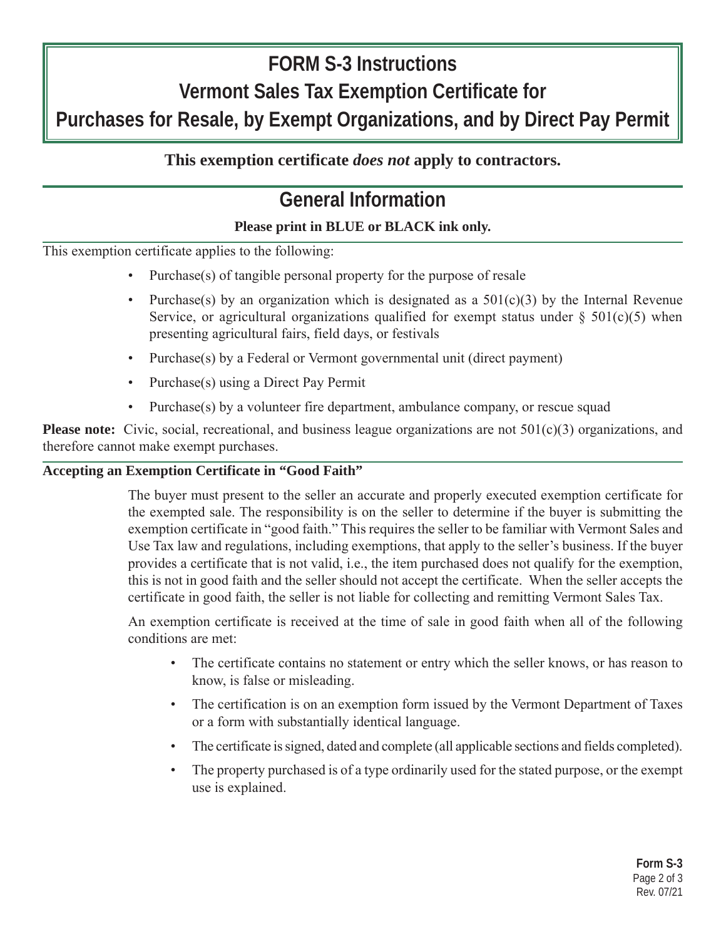# **FORM S-3 Instructions Vermont Sales Tax Exemption Certificate for Purchases for Resale, by Exempt Organizations, and by Direct Pay Permit**

## **This exemption certificate** *does not* **apply to contractors.**

## **General Information**

## **Please print in BLUE or BLACK ink only.**

This exemption certificate applies to the following:

- Purchase(s) of tangible personal property for the purpose of resale
- Purchase(s) by an organization which is designated as a  $501(c)(3)$  by the Internal Revenue Service, or agricultural organizations qualified for exempt status under  $\S$  501(c)(5) when presenting agricultural fairs, field days, or festivals
- Purchase(s) by a Federal or Vermont governmental unit (direct payment)
- Purchase(s) using a Direct Pay Permit
- Purchase(s) by a volunteer fire department, ambulance company, or rescue squad

**Please note:** Civic, social, recreational, and business league organizations are not 501(c)(3) organizations, and therefore cannot make exempt purchases.

## **Accepting an Exemption Certificate in "Good Faith"**

The buyer must present to the seller an accurate and properly executed exemption certificate for the exempted sale. The responsibility is on the seller to determine if the buyer is submitting the exemption certificate in "good faith." This requires the seller to be familiar with Vermont Sales and Use Tax law and regulations, including exemptions, that apply to the seller's business. If the buyer provides a certificate that is not valid, i.e., the item purchased does not qualify for the exemption, this is not in good faith and the seller should not accept the certificate. When the seller accepts the certificate in good faith, the seller is not liable for collecting and remitting Vermont Sales Tax.

An exemption certificate is received at the time of sale in good faith when all of the following conditions are met:

- The certificate contains no statement or entry which the seller knows, or has reason to know, is false or misleading.
- The certification is on an exemption form issued by the Vermont Department of Taxes or a form with substantially identical language.
- The certificate is signed, dated and complete (all applicable sections and fields completed).
- The property purchased is of a type ordinarily used for the stated purpose, or the exempt use is explained.